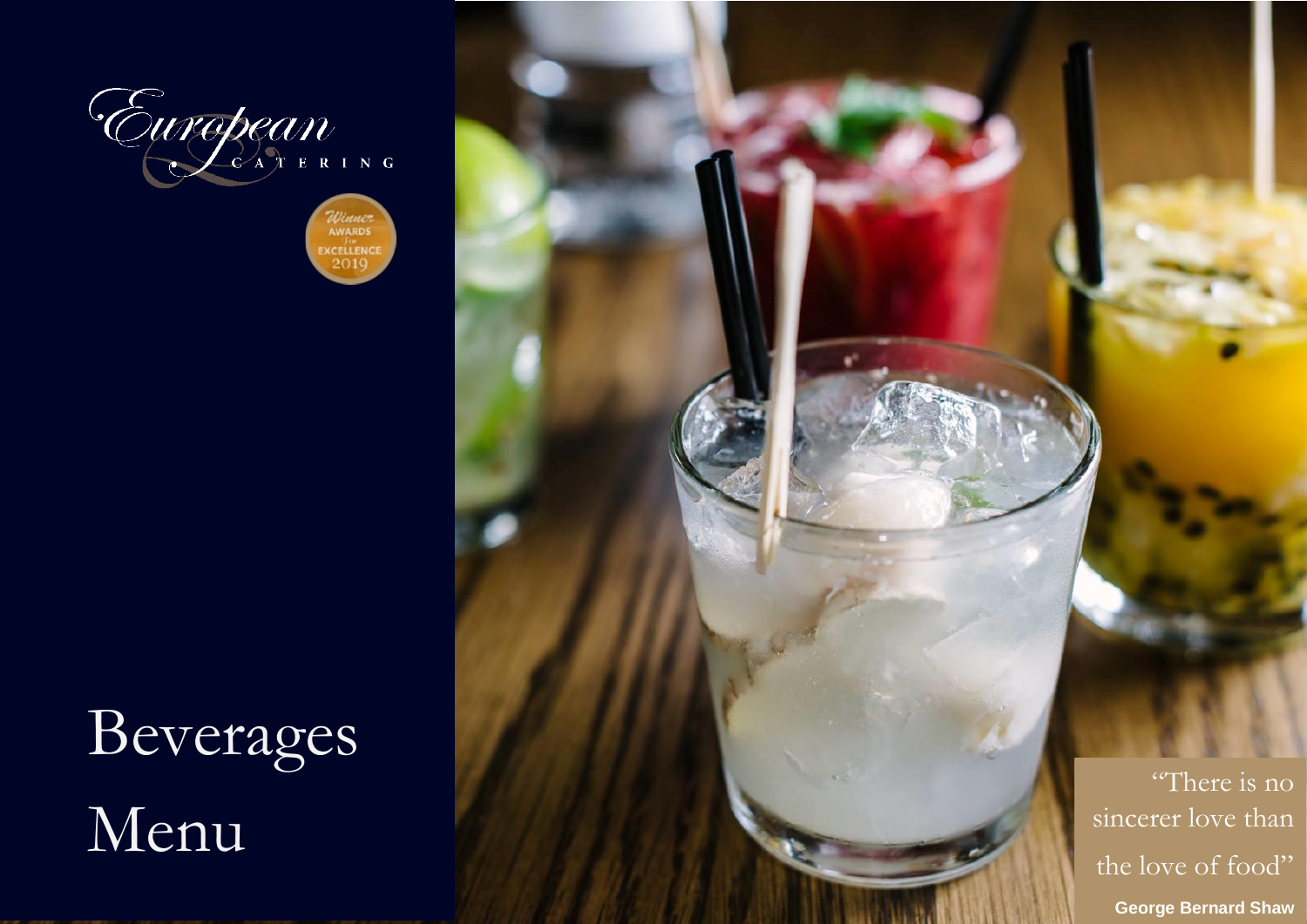



# Beverages Menu

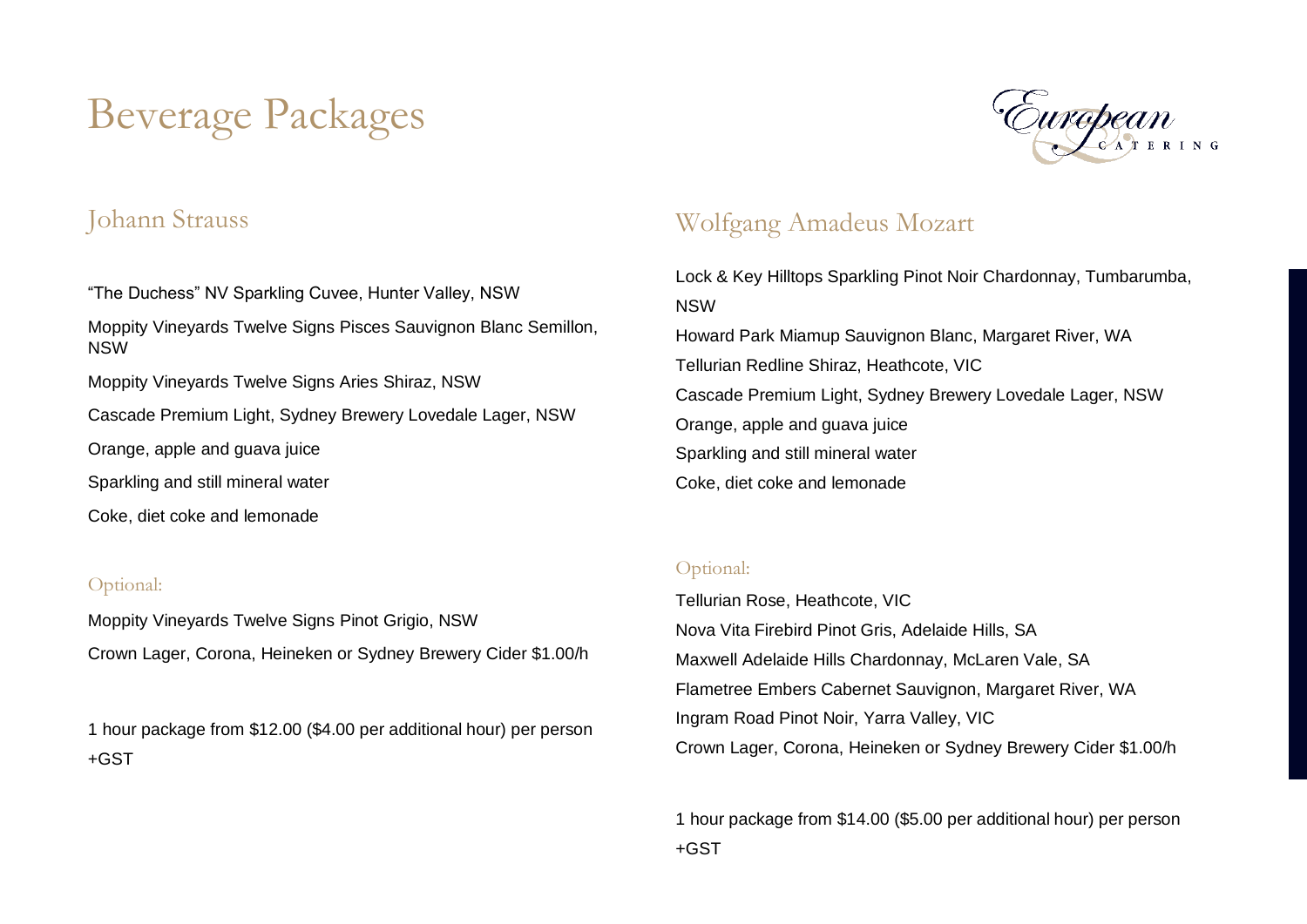## Beverage Packages



#### Johann Strauss

"The Duchess" NV Sparkling Cuvee, Hunter Valley, NSW Moppity Vineyards Twelve Signs Pisces Sauvignon Blanc Semillon, NSW Moppity Vineyards Twelve Signs Aries Shiraz, NSW Cascade Premium Light, Sydney Brewery Lovedale Lager, NSW Orange, apple and guava juice Sparkling and still mineral water Coke, diet coke and lemonade

#### Optional:

Moppity Vineyards Twelve Signs Pinot Grigio, NSW Crown Lager, Corona, Heineken or Sydney Brewery Cider \$1.00/h

1 hour package from \$12.00 (\$4.00 per additional hour) per person +GST

#### Wolfgang Amadeus Mozart

Lock & Key Hilltops Sparkling Pinot Noir Chardonnay, Tumbarumba, NSW Howard Park Miamup Sauvignon Blanc, Margaret River, WA Tellurian Redline Shiraz, Heathcote, VIC Cascade Premium Light, Sydney Brewery Lovedale Lager, NSW Orange, apple and guava juice Sparkling and still mineral water Coke, diet coke and lemonade

#### Optional:

Tellurian Rose, Heathcote, VIC Nova Vita Firebird Pinot Gris, Adelaide Hills, SA Maxwell Adelaide Hills Chardonnay, McLaren Vale, SA Flametree Embers Cabernet Sauvignon, Margaret River, WA Ingram Road Pinot Noir, Yarra Valley, VIC Crown Lager, Corona, Heineken or Sydney Brewery Cider \$1.00/h

1 hour package from \$14.00 (\$5.00 per additional hour) per person +GST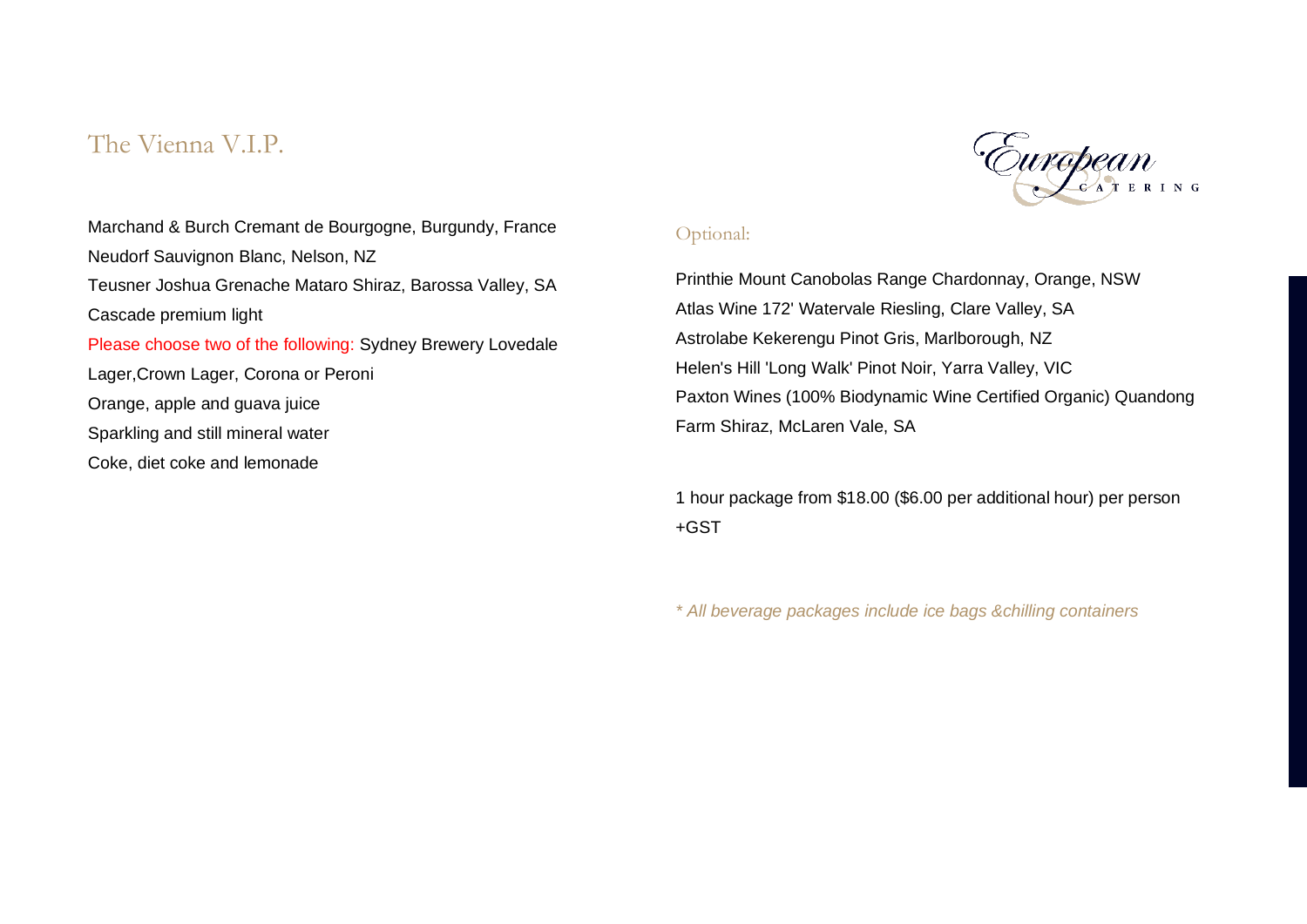#### The Vienna V.I.P.



#### Optional:

Printhie Mount Canobolas Range Chardonnay, Orange, NSW Atlas Wine 172' Watervale Riesling, Clare Valley, SA Astrolabe Kekerengu Pinot Gris, Marlborough, NZ Helen's Hill 'Long Walk' Pinot Noir, Yarra Valley, VIC Paxton Wines (100% Biodynamic Wine Certified Organic) Quandong Farm Shiraz, McLaren Vale, SA

1 hour package from \$18.00 (\$6.00 per additional hour) per person +GST

*\* All beverage packages include ice bags &chilling containers*

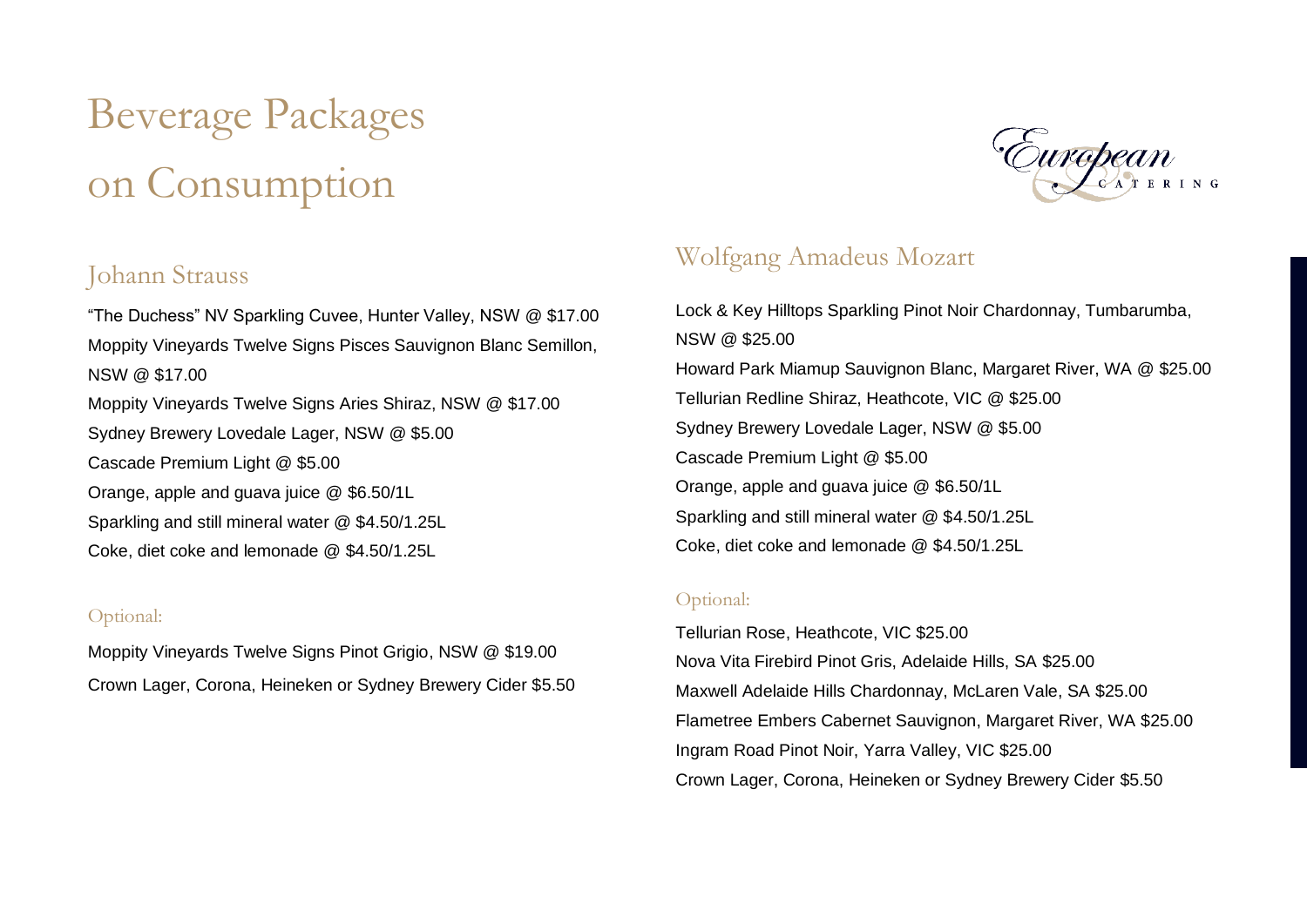## Beverage Packages on Consumption

#### Johann Strauss

"The Duchess" NV Sparkling Cuvee, Hunter Valley, NSW @ \$17.00 Moppity Vineyards Twelve Signs Pisces Sauvignon Blanc Semillon, NSW @ \$17.00 Moppity Vineyards Twelve Signs Aries Shiraz, NSW @ \$17.00 Sydney Brewery Lovedale Lager, NSW @ \$5.00 Cascade Premium Light @ \$5.00 Orange, apple and guava juice @ \$6.50/1L Sparkling and still mineral water @ \$4.50/1.25L Coke, diet coke and lemonade @ \$4.50/1.25L

#### Optional:

Moppity Vineyards Twelve Signs Pinot Grigio, NSW @ \$19.00 Crown Lager, Corona, Heineken or Sydney Brewery Cider \$5.50



#### Wolfgang Amadeus Mozart

Lock & Key Hilltops Sparkling Pinot Noir Chardonnay, Tumbarumba, NSW @ \$25.00 Howard Park Miamup Sauvignon Blanc, Margaret River, WA @ \$25.00 Tellurian Redline Shiraz, Heathcote, VIC @ \$25.00 Sydney Brewery Lovedale Lager, NSW @ \$5.00 Cascade Premium Light @ \$5.00 Orange, apple and guava juice @ \$6.50/1L Sparkling and still mineral water @ \$4.50/1.25L Coke, diet coke and lemonade @ \$4.50/1.25L

#### Optional:

Tellurian Rose, Heathcote, VIC \$25.00 Nova Vita Firebird Pinot Gris, Adelaide Hills, SA \$25.00 Maxwell Adelaide Hills Chardonnay, McLaren Vale, SA \$25.00 Flametree Embers Cabernet Sauvignon, Margaret River, WA \$25.00 Ingram Road Pinot Noir, Yarra Valley, VIC \$25.00 Crown Lager, Corona, Heineken or Sydney Brewery Cider \$5.50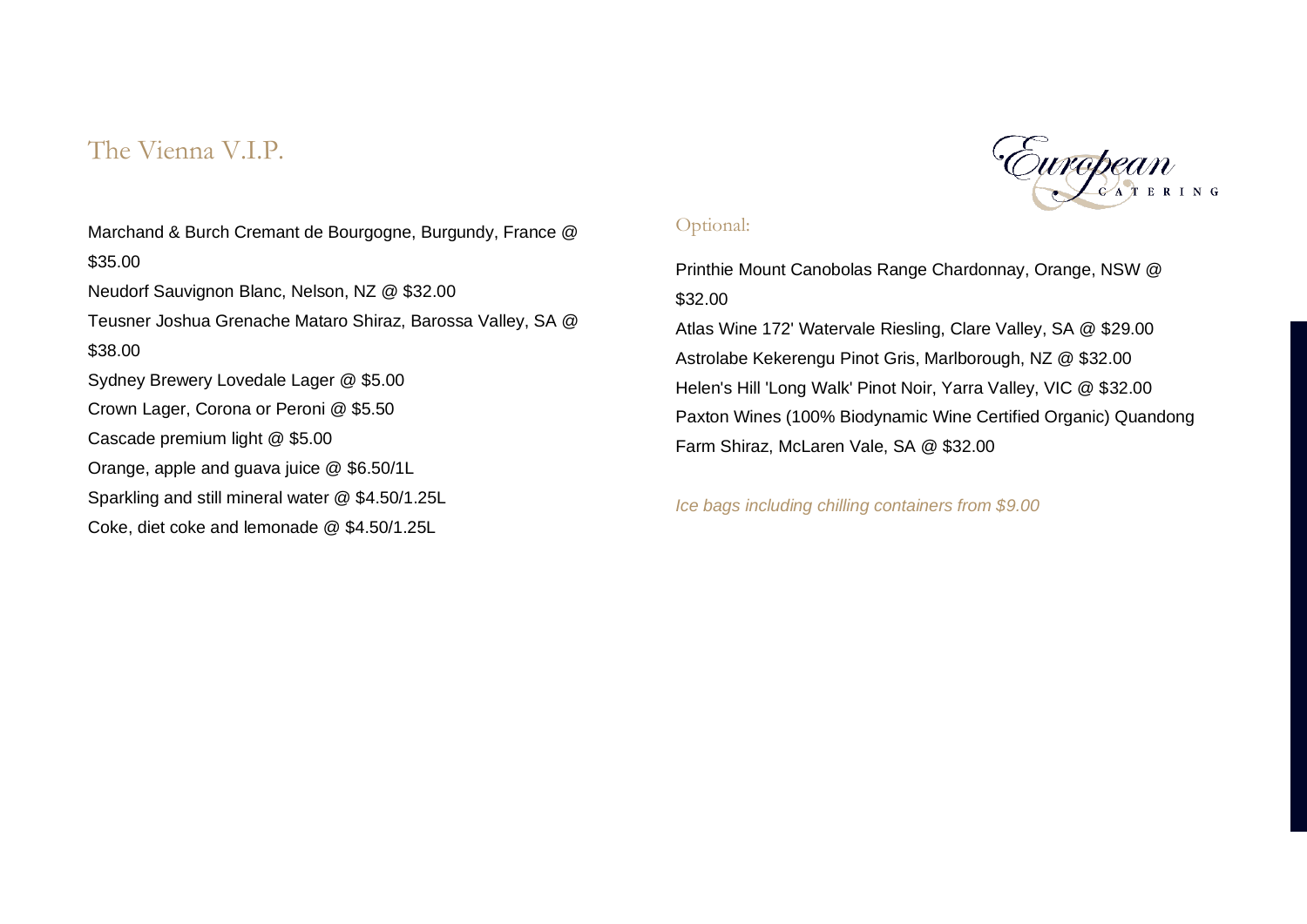#### The Vienna V.I.P.

Marchand & Burch Cremant de Bourgogne, Burgundy, France @ \$35.00 Neudorf Sauvignon Blanc, Nelson, NZ @ \$32.00 Teusner Joshua Grenache Mataro Shiraz, Barossa Valley, SA @ \$38.00 Sydney Brewery Lovedale Lager @ \$5.00 Crown Lager, Corona or Peroni @ \$5.50 Cascade premium light @ \$5.00 Orange, apple and guava juice @ \$6.50/1L Sparkling and still mineral water @ \$4.50/1.25L Coke, diet coke and lemonade @ \$4.50/1.25L

#### Optional:

Printhie Mount Canobolas Range Chardonnay, Orange, NSW @ \$32.00 Atlas Wine 172' Watervale Riesling, Clare Valley, SA @ \$29.00 Astrolabe Kekerengu Pinot Gris, Marlborough, NZ @ \$32.00 Helen's Hill 'Long Walk' Pinot Noir, Yarra Valley, VIC @ \$32.00 Paxton Wines (100% Biodynamic Wine Certified Organic) Quandong Farm Shiraz, McLaren Vale, SA @ \$32.00

*Ice bags including chilling containers from \$9.00*

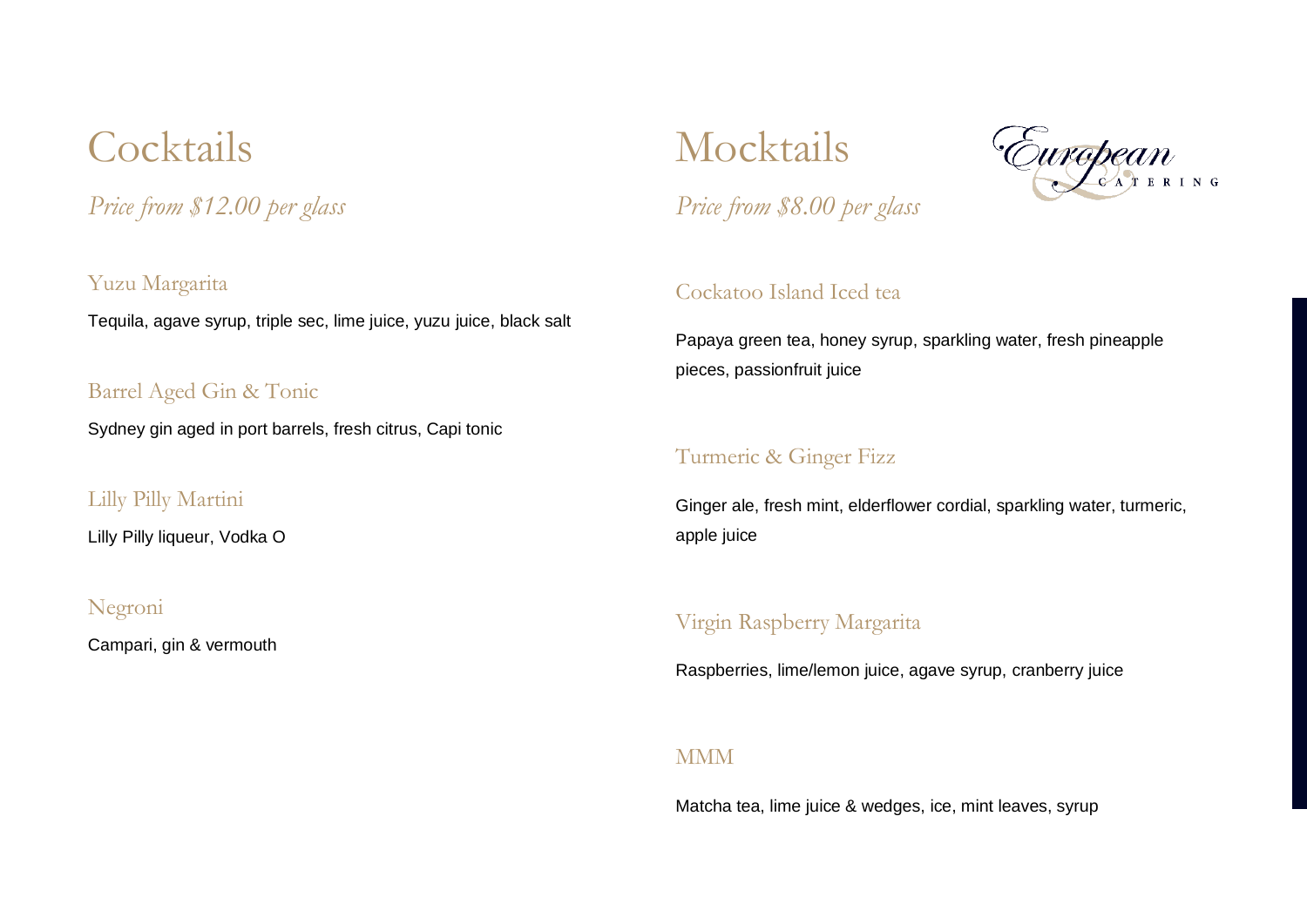## **Cocktails**

*Price from \$12.00 per glass*

Yuzu Margarita Tequila, agave syrup, triple sec, lime juice, yuzu juice, black salt

Barrel Aged Gin & Tonic

Sydney gin aged in port barrels, fresh citrus, Capi tonic

Lilly Pilly Martini

Lilly Pilly liqueur, Vodka O

#### Negroni

Campari, gin & vermouth

Mocktails



*Price from \$8.00 per glass*

#### Cockatoo Island Iced tea

Papaya green tea, honey syrup, sparkling water, fresh pineapple pieces, passionfruit juice

#### Turmeric & Ginger Fizz

Ginger ale, fresh mint, elderflower cordial, sparkling water, turmeric, apple juice

#### Virgin Raspberry Margarita

Raspberries, lime/lemon juice, agave syrup, cranberry juice

#### **MMM**

Matcha tea, lime juice & wedges, ice, mint leaves, syrup